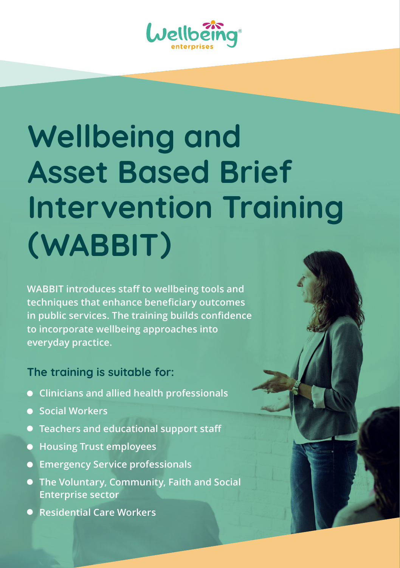

# **Wellbeing and Asset Based Brief Intervention Training (WABBIT)**

**WABBIT introduces staff to wellbeing tools and techniques that enhance beneficiary outcomes in public services. The training builds confidence to incorporate wellbeing approaches into everyday practice.**

## **The training is suitable for:**

- **Clinicians and allied health professionals**
- **Social Workers**
- **Teachers and educational support staff**
- **Housing Trust employees**
- **Emergency Service professionals**
- **The Voluntary, Community, Faith and Social Enterprise sector**
- **Residential Care Workers**